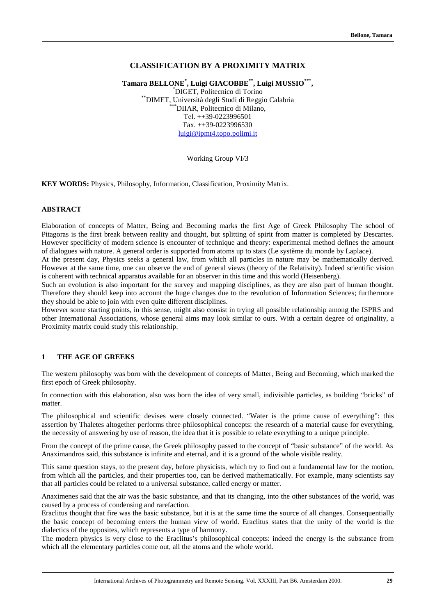## **CLASSIFICATION BY A PROXIMITY MATRIX**

**Tamara BELLONE\* , Luigi GIACOBBE\*\*, Luigi MUSSIO\*\*\*,** \* DIGET, Politecnico di Torino \*\*DIMET, Università degli Studi di Reggio Calabria \*\*\*DIIAR, Politecnico di Milano, Tel. ++39-0223996501  $Fax. ++39-0223996530$ luigi@ipmt4.topo.polimi.it

Working Group VI/3

**KEY WORDS:** Physics, Philosophy, Information, Classification, Proximity Matrix.

### **ABSTRACT**

Elaboration of concepts of Matter, Being and Becoming marks the first Age of Greek Philosophy The school of Pitagoras is the first break between reality and thought, but splitting of spirit from matter is completed by Descartes. However specificity of modern science is encounter of technique and theory: experimental method defines the amount of dialogues with nature. A general order is supported from atoms up to stars (Le système du monde by Laplace).

At the present day, Physics seeks a general law, from which all particles in nature may be mathematically derived. However at the same time, one can observe the end of general views (theory of the Relativity). Indeed scientific vision is coherent with technical apparatus available for an observer in this time and this world (Heisenberg).

Such an evolution is also important for the survey and mapping disciplines, as they are also part of human thought. Therefore they should keep into account the huge changes due to the revolution of Information Sciences; furthermore they should be able to join with even quite different disciplines.

However some starting points, in this sense, might also consist in trying all possible relationship among the ISPRS and other International Associations, whose general aims may look similar to ours. With a certain degree of originality, a Proximity matrix could study this relationship.

#### **1 THE AGE OF GREEKS**

The western philosophy was born with the development of concepts of Matter, Being and Becoming, which marked the first epoch of Greek philosophy.

In connection with this elaboration, also was born the idea of very small, indivisible particles, as building "bricks" of matter.

The philosophical and scientific devises were closely connected. "Water is the prime cause of everything": this assertion by Thaletes altogether performs three philosophical concepts: the research of a material cause for everything, the necessity of answering by use of reason, the idea that it is possible to relate everything to a unique principle.

From the concept of the prime cause, the Greek philosophy passed to the concept of "basic substance" of the world. As Anaximandros said, this substance is infinite and eternal, and it is a ground of the whole visible reality.

This same question stays, to the present day, before physicists, which try to find out a fundamental law for the motion, from which all the particles, and their properties too, can be derived mathematically. For example, many scientists say that all particles could be related to a universal substance, called energy or matter.

Anaximenes said that the air was the basic substance, and that its changing, into the other substances of the world, was caused by a process of condensing and rarefaction.

Eraclitus thought that fire was the basic substance, but it is at the same time the source of all changes. Consequentially the basic concept of becoming enters the human view of world. Eraclitus states that the unity of the world is the dialectics of the opposites, which represents a type of harmony.

The modern physics is very close to the Eraclitus's philosophical concepts: indeed the energy is the substance from which all the elementary particles come out, all the atoms and the whole world.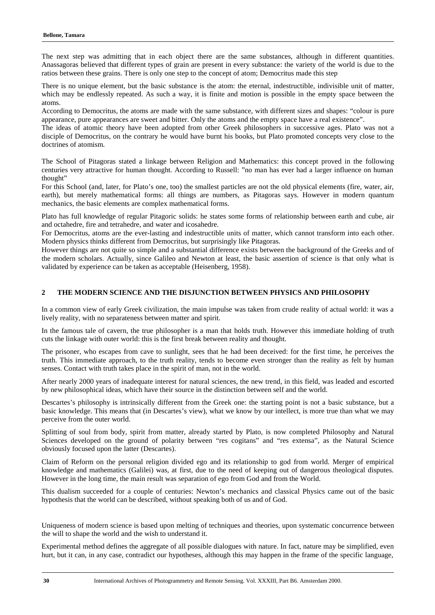The next step was admitting that in each object there are the same substances, although in different quantities. Anassagoras believed that different types of grain are present in every substance: the variety of the world is due to the ratios between these grains. There is only one step to the concept of atom; Democritus made this step

There is no unique element, but the basic substance is the atom: the eternal, indestructible, indivisible unit of matter, which may be endlessly repeated. As such a way, it is finite and motion is possible in the empty space between the atoms.

According to Democritus, the atoms are made with the same substance, with different sizes and shapes: "colour is pure appearance, pure appearances are sweet and bitter. Only the atoms and the empty space have a real existence".

The ideas of atomic theory have been adopted from other Greek philosophers in successive ages. Plato was not a disciple of Democritus, on the contrary he would have burnt his books, but Plato promoted concepts very close to the doctrines of atomism.

The School of Pitagoras stated a linkage between Religion and Mathematics: this concept proved in the following centuries very attractive for human thought. According to Russell: "no man has ever had a larger influence on human thought"

For this School (and, later, for Plato's one, too) the smallest particles are not the old physical elements (fire, water, air, earth), but merely mathematical forms: all things are numbers, as Pitagoras says. However in modern quantum mechanics, the basic elements are complex mathematical forms.

Plato has full knowledge of regular Pitagoric solids: he states some forms of relationship between earth and cube, air and octahedre, fire and tetrahedre, and water and icosahedre.

For Democritus, atoms are the ever-lasting and indestructible units of matter, which cannot transform into each other. Modern physics thinks different from Democritus, but surprisingly like Pitagoras.

However things are not quite so simple and a substantial difference exists between the background of the Greeks and of the modern scholars. Actually, since Galileo and Newton at least, the basic assertion of science is that only what is validated by experience can be taken as acceptable (Heisenberg, 1958).

## **2 THE MODERN SCIENCE AND THE DISJUNCTION BETWEEN PHYSICS AND PHILOSOPHY**

In a common view of early Greek civilization, the main impulse was taken from crude reality of actual world: it was a lively reality, with no separateness between matter and spirit.

In the famous tale of cavern, the true philosopher is a man that holds truth. However this immediate holding of truth cuts the linkage with outer world: this is the first break between reality and thought.

The prisoner, who escapes from cave to sunlight, sees that he had been deceived: for the first time, he perceives the truth. This immediate approach, to the truth reality, tends to become even stronger than the reality as felt by human senses. Contact with truth takes place in the spirit of man, not in the world.

After nearly 2000 years of inadequate interest for natural sciences, the new trend, in this field, was leaded and escorted by new philosophical ideas, which have their source in the distinction between self and the world.

Descartes's philosophy is intrinsically different from the Greek one: the starting point is not a basic substance, but a basic knowledge. This means that (in Descartes's view), what we know by our intellect, is more true than what we may perceive from the outer world.

Splitting of soul from body, spirit from matter, already started by Plato, is now completed Philosophy and Natural Sciences developed on the ground of polarity between "res cogitans" and "res extensa", as the Natural Science obviously focused upon the latter (Descartes).

Claim of Reform on the personal religion divided ego and its relationship to god from world. Merger of empirical knowledge and mathematics (Galilei) was, at first, due to the need of keeping out of dangerous theological disputes. However in the long time, the main result was separation of ego from God and from the World.

This dualism succeeded for a couple of centuries: Newton's mechanics and classical Physics came out of the basic hypothesis that the world can be described, without speaking both of us and of God.

Uniqueness of modern science is based upon melting of techniques and theories, upon systematic concurrence between the will to shape the world and the wish to understand it.

Experimental method defines the aggregate of all possible dialogues with nature. In fact, nature may be simplified, even hurt, but it can, in any case, contradict our hypotheses, although this may happen in the frame of the specific language,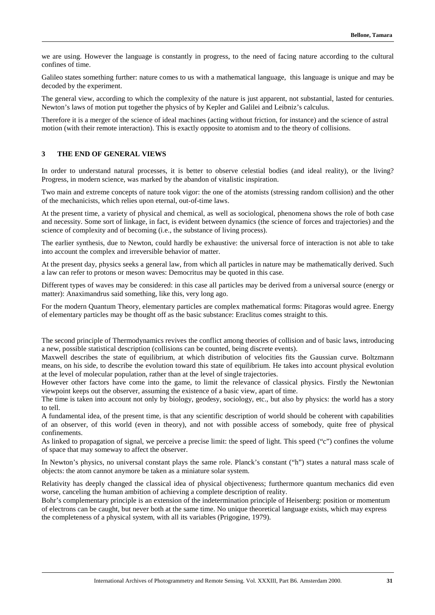we are using. However the language is constantly in progress, to the need of facing nature according to the cultural confines of time.

Galileo states something further: nature comes to us with a mathematical language, this language is unique and may be decoded by the experiment.

The general view, according to which the complexity of the nature is just apparent, not substantial, lasted for centuries. Newton's laws of motion put together the physics of by Kepler and Galilei and Leibniz's calculus.

Therefore it is a merger of the science of ideal machines (acting without friction, for instance) and the science of astral motion (with their remote interaction). This is exactly opposite to atomism and to the theory of collisions.

#### **3 THE END OF GENERAL VIEWS**

In order to understand natural processes, it is better to observe celestial bodies (and ideal reality), or the living? Progress, in modern science, was marked by the abandon of vitalistic inspiration.

Two main and extreme concepts of nature took vigor: the one of the atomists (stressing random collision) and the other of the mechanicists, which relies upon eternal, out-of-time laws.

At the present time, a variety of physical and chemical, as well as sociological, phenomena shows the role of both case and necessity. Some sort of linkage, in fact, is evident between dynamics (the science of forces and trajectories) and the science of complexity and of becoming (i.e., the substance of living process).

The earlier synthesis, due to Newton, could hardly be exhaustive: the universal force of interaction is not able to take into account the complex and irreversible behavior of matter.

At the present day, physics seeks a general law, from which all particles in nature may be mathematically derived. Such a law can refer to protons or meson waves: Democritus may be quoted in this case.

Different types of waves may be considered: in this case all particles may be derived from a universal source (energy or matter): Anaximandrus said something, like this, very long ago.

For the modern Quantum Theory, elementary particles are complex mathematical forms: Pitagoras would agree. Energy of elementary particles may be thought off as the basic substance: Eraclitus comes straight to this.

The second principle of Thermodynamics revives the conflict among theories of collision and of basic laws, introducing a new, possible statistical description (collisions can be counted, being discrete events).

Maxwell describes the state of equilibrium, at which distribution of velocities fits the Gaussian curve. Boltzmann means, on his side, to describe the evolution toward this state of equilibrium. He takes into account physical evolution at the level of molecular population, rather than at the level of single trajectories.

However other factors have come into the game, to limit the relevance of classical physics. Firstly the Newtonian viewpoint keeps out the observer, assuming the existence of a basic view, apart of time.

The time is taken into account not only by biology, geodesy, sociology, etc., but also by physics: the world has a story to tell.

A fundamental idea, of the present time, is that any scientific description of world should be coherent with capabilities of an observer, of this world (even in theory), and not with possible access of somebody, quite free of physical confinements.

As linked to propagation of signal, we perceive a precise limit: the speed of light. This speed ("c") confines the volume of space that may someway to affect the observer.

In Newton's physics, no universal constant plays the same role. Planck's constant ("h") states a natural mass scale of objects: the atom cannot anymore be taken as a miniature solar system.

Relativity has deeply changed the classical idea of physical objectiveness; furthermore quantum mechanics did even worse, canceling the human ambition of achieving a complete description of reality.

Bohr's complementary principle is an extension of the indetermination principle of Heisenberg: position or momentum of electrons can be caught, but never both at the same time. No unique theoretical language exists, which may express the completeness of a physical system, with all its variables (Prigogine, 1979).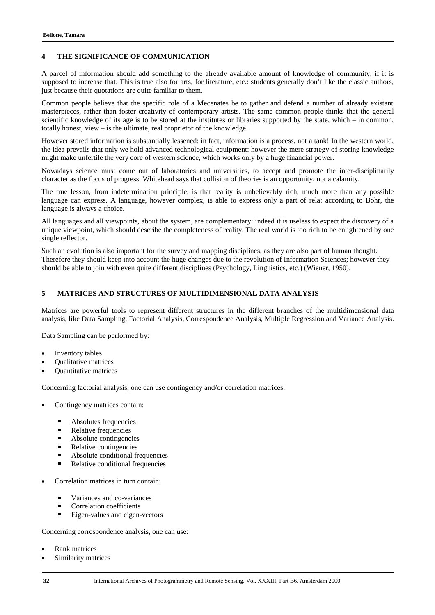### **4 THE SIGNIFICANCE OF COMMUNICATION**

A parcel of information should add something to the already available amount of knowledge of community, if it is supposed to increase that. This is true also for arts, for literature, etc.: students generally don't like the classic authors, just because their quotations are quite familiar to them.

Common people believe that the specific role of a Mecenates be to gather and defend a number of already existant masterpieces, rather than foster creativity of contemporary artists. The same common people thinks that the general scientific knowledge of its age is to be stored at the institutes or libraries supported by the state, which – in common, totally honest, view – is the ultimate, real proprietor of the knowledge.

However stored information is substantially lessened: in fact, information is a process, not a tank! In the western world, the idea prevails that only we hold advanced technological equipment: however the mere strategy of storing knowledge might make unfertile the very core of western science, which works only by a huge financial power.

Nowadays science must come out of laboratories and universities, to accept and promote the inter-disciplinarily character as the focus of progress. Whitehead says that collision of theories is an opportunity, not a calamity.

The true lesson, from indetermination principle, is that reality is unbelievably rich, much more than any possible language can express. A language, however complex, is able to express only a part of rela: according to Bohr, the language is always a choice.

All languages and all viewpoints, about the system, are complementary: indeed it is useless to expect the discovery of a unique viewpoint, which should describe the completeness of reality. The real world is too rich to be enlightened by one single reflector.

Such an evolution is also important for the survey and mapping disciplines, as they are also part of human thought. Therefore they should keep into account the huge changes due to the revolution of Information Sciences; however they should be able to join with even quite different disciplines (Psychology, Linguistics, etc.) (Wiener, 1950).

### **5 MATRICES AND STRUCTURES OF MULTIDIMENSIONAL DATA ANALYSIS**

Matrices are powerful tools to represent different structures in the different branches of the multidimensional data analysis, like Data Sampling, Factorial Analysis, Correspondence Analysis, Multiple Regression and Variance Analysis.

Data Sampling can be performed by:

- ·Inventory tables
- ·Qualitative matrices
- ·Quantitative matrices

Concerning factorial analysis, one can use contingency and/or correlation matrices.

- · Contingency matrices contain:
	- Absolutes frequencies §
	- Relative frequencies §
	- Absolute contingencies §
	- Relative contingencies §
	- Absolute conditional frequencies §
	- Relative conditional frequencies
- · Correlation matrices in turn contain:
	- Variances and co-variances §
	- Correlation coefficients §
	- Eigen-values and eigen-vectors

Concerning correspondence analysis, one can use:

- ·Rank matrices
- ·Similarity matrices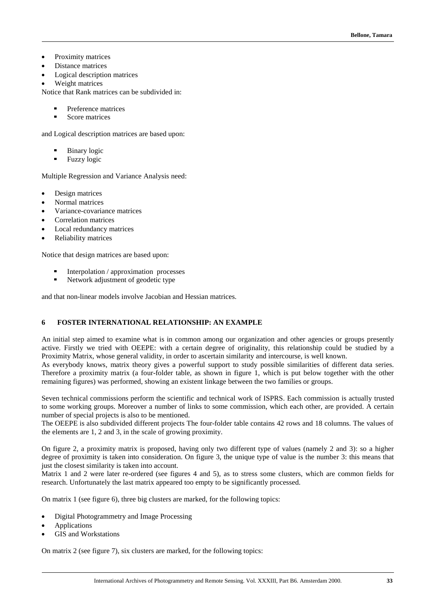- ·Proximity matrices
- · Distance matrices ·
- Logical description matrices
- ·Weight matrices

Notice that Rank matrices can be subdivided in:

- Preference matrices §
- Score matrices

and Logical description matrices are based upon:

- Binary logic §
- Fuzzy logic

Multiple Regression and Variance Analysis need:

- ·Design matrices
- ·Normal matrices
- ·Variance-covariance matrices
- ·Correlation matrices
- ·Local redundancy matrices
- ·Reliability matrices

Notice that design matrices are based upon:

- Interpolation / approximation processes §
- Network adjustment of geodetic type

and that non-linear models involve Jacobian and Hessian matrices.

## **6 FOSTER INTERNATIONAL RELATIONSHIP: AN EXAMPLE**

An initial step aimed to examine what is in common among our organization and other agencies or groups presently active. Firstly we tried with OEEPE: with a certain degree of originality, this relationship could be studied by a Proximity Matrix, whose general validity, in order to ascertain similarity and intercourse, is well known.

As everybody knows, matrix theory gives a powerful support to study possible similarities of different data series. Therefore a proximity matrix (a four-folder table, as shown in figure 1, which is put below together with the other remaining figures) was performed, showing an existent linkage between the two families or groups.

Seven technical commissions perform the scientific and technical work of ISPRS. Each commission is actually trusted to some working groups. Moreover a number of links to some commission, which each other, are provided. A certain number of special projects is also to be mentioned.

The OEEPE is also subdivided different projects The four-folder table contains 42 rows and 18 columns. The values of the elements are 1, 2 and 3, in the scale of growing proximity.

On figure 2, a proximity matrix is proposed, having only two different type of values (namely 2 and 3): so a higher degree of proximity is taken into consideration. On figure 3, the unique type of value is the number 3: this means that just the closest similarity is taken into account.

Matrix 1 and 2 were later re-ordered (see figures 4 and 5), as to stress some clusters, which are common fields for research. Unfortunately the last matrix appeared too empty to be significantly processed.

On matrix 1 (see figure 6), three big clusters are marked, for the following topics:

- ·Digital Photogrammetry and Image Processing
- ·Applications
- ·GIS and Workstations

On matrix 2 (see figure 7), six clusters are marked, for the following topics: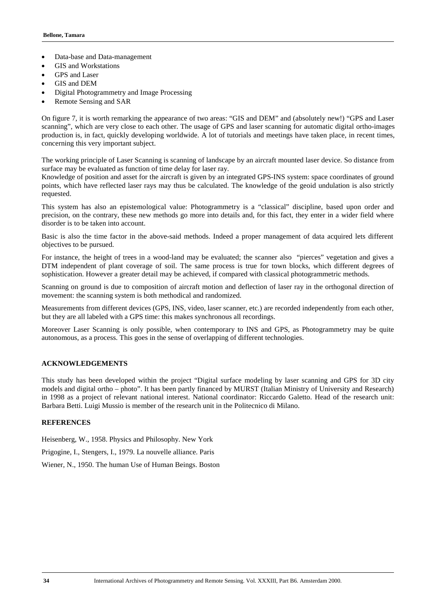- ·Data-base and Data-management
- ·GIS and Workstations
- ·GPS and Laser
- ·GIS and DEM
- ·Digital Photogrammetry and Image Processing
- ·Remote Sensing and SAR

On figure 7, it is worth remarking the appearance of two areas: "GIS and DEM" and (absolutely new!) "GPS and Laser scanning", which are very close to each other. The usage of GPS and laser scanning for automatic digital ortho-images production is, in fact, quickly developing worldwide. A lot of tutorials and meetings have taken place, in recent times, concerning this very important subject.

The working principle of Laser Scanning is scanning of landscape by an aircraft mounted laser device. So distance from surface may be evaluated as function of time delay for laser ray.

Knowledge of position and asset for the aircraft is given by an integrated GPS-INS system: space coordinates of ground points, which have reflected laser rays may thus be calculated. The knowledge of the geoid undulation is also strictly requested.

This system has also an epistemological value: Photogrammetry is a "classical" discipline, based upon order and precision, on the contrary, these new methods go more into details and, for this fact, they enter in a wider field where disorder is to be taken into account.

Basic is also the time factor in the above-said methods. Indeed a proper management of data acquired lets different objectives to be pursued.

For instance, the height of trees in a wood-land may be evaluated; the scanner also "pierces" vegetation and gives a DTM independent of plant coverage of soil. The same process is true for town blocks, which different degrees of sophistication. However a greater detail may be achieved, if compared with classical photogrammetric methods.

Scanning on ground is due to composition of aircraft motion and deflection of laser ray in the orthogonal direction of movement: the scanning system is both methodical and randomized.

Measurements from different devices (GPS, INS, video, laser scanner, etc.) are recorded independently from each other, but they are all labeled with a GPS time: this makes synchronous all recordings.

Moreover Laser Scanning is only possible, when contemporary to INS and GPS, as Photogrammetry may be quite autonomous, as a process. This goes in the sense of overlapping of different technologies.

# **ACKNOWLEDGEMENTS**

This study has been developed within the project "Digital surface modeling by laser scanning and GPS for 3D city models and digital ortho – photo". It has been partly financed by MURST (Italian Ministry of University and Research) in 1998 as a project of relevant national interest. National coordinator: Riccardo Galetto. Head of the research unit: Barbara Betti. Luigi Mussio is member of the research unit in the Politecnico di Milano.

### **REFERENCES**

Heisenberg, W., 1958. Physics and Philosophy. New York

Prigogine, I., Stengers, I., 1979. La nouvelle alliance. Paris

Wiener, N., 1950. The human Use of Human Beings. Boston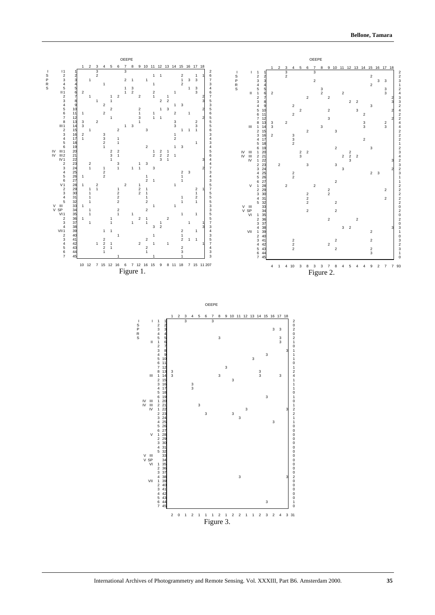

International Archives of Photogrammetry and Remote Sensing. Vol. XXXIII, Part B6. Amsterdam 2000. **35**